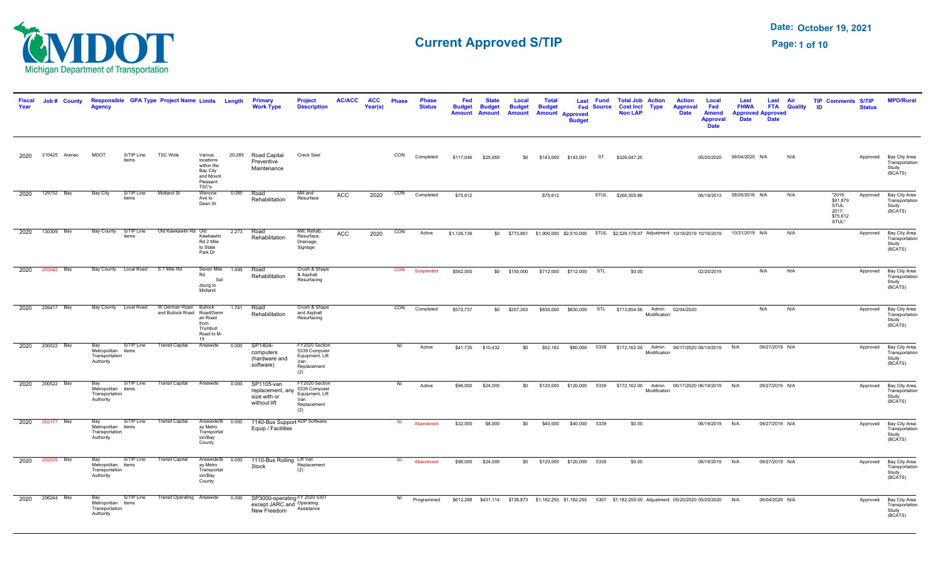

| <b>Fiscal</b><br>Year | Job # County       | Agency                                                   |                                  | Responsible GPA Type Project Name Limits Length                           |                                                                                 |                  | Primary<br><b>Work Type</b>                                                          | <b>Project</b><br><b>Description</b>                                            | <b>AC/ACC</b> | <b>ACC</b><br>Year(s) | <b>Phase</b> | <b>Phase</b><br><b>Status</b> | Fed<br><b>Budget</b><br>Amount | <b>State</b><br><b>Budget</b><br>Amount | Local<br><b>Budget</b><br><b>Amount</b> | Total<br><b>Budget</b> | <b>Amount Approved</b><br><b>Budget</b> | Last Fund<br><b>Fed Source</b> | <b>Total Job Action</b><br><b>Cost Incl Type</b><br><b>Non LAP</b>  |              | <b>Action</b><br><b>Approval</b><br><b>Date</b>                                                                | Local<br>Fed<br><b>Amend</b><br><b>Approval</b><br><b>Date</b> | Last<br><b>FHWA</b><br><b>Approved Approved</b><br><b>Date</b> | Last<br><b>Date</b> | Air<br><b>FTA Quality</b> | <b>TIP Comments S/TIP</b><br><b>ID</b>                   | <b>Status</b> | <b>MPO/Rural</b>                                             |
|-----------------------|--------------------|----------------------------------------------------------|----------------------------------|---------------------------------------------------------------------------|---------------------------------------------------------------------------------|------------------|--------------------------------------------------------------------------------------|---------------------------------------------------------------------------------|---------------|-----------------------|--------------|-------------------------------|--------------------------------|-----------------------------------------|-----------------------------------------|------------------------|-----------------------------------------|--------------------------------|---------------------------------------------------------------------|--------------|----------------------------------------------------------------------------------------------------------------|----------------------------------------------------------------|----------------------------------------------------------------|---------------------|---------------------------|----------------------------------------------------------|---------------|--------------------------------------------------------------|
|                       | 2020 210425 Arenac | <b>MDOT</b>                                              | S/TIP Line<br>items              | <b>TSC Wide</b>                                                           | Varous<br>locations<br>within the<br>Bay City<br>and Mount<br>Pleasant<br>TSC's | 20.285           | Road Capital<br>Preventive<br>Maintenance                                            | <b>Crack Seal</b>                                                               |               |                       | CON          | Completed                     | \$117,046                      | \$25,955                                | \$0                                     |                        | \$143,000 \$143,001 ST                  |                                | \$326,647.20                                                        |              |                                                                                                                |                                                                | 05/20/2020 06/04/2020 N/A                                      |                     | N/A                       |                                                          |               | Approved Bay City Area<br>Transportation<br>Study<br>(BCÁTS) |
| 2020                  | 129752 Bay         | <b>Bay City</b>                                          | S/TIP Line<br>items              | <b>Midland St</b>                                                         | Wenona<br>Ave to<br>Dean St                                                     | 0.085            | Road<br>Rehabilitation                                                               | Mill and<br>Resurface                                                           | ACC           | 2020                  | CON          | Completed                     | \$75,612                       |                                         |                                         | \$75,612               |                                         |                                | STUL \$266,505.86                                                   |              |                                                                                                                |                                                                | 06/19/2013  08/26/2016  N/A                                    |                     | N/A                       | "2016:<br>\$91.879<br>STUL<br>2017:<br>\$75,612<br>STUL" | Approved      | Bay City Area<br>Transportation<br>Study<br>(BCATS)          |
|                       | 2020 130309 Bay    |                                                          | items                            | Bay County S/TIP Line Old Kawkawlin Rd Old                                | Kawkawlin<br>Rd 2 Mile<br>to State<br>Park Dr                                   |                  | 2.273 Road<br>Rehabilitation                                                         | Mill, Rehab,<br>Resurface,<br>Drainage,<br>Signage                              | ACC           | 2020                  | CON          | Active                        | \$1,126,139                    |                                         |                                         |                        |                                         |                                |                                                                     |              | \$0 \$773,861 \$1,900,000 \$2,510,000 STUL \$2,529,178.07 Adjustment 10/16/2019 10/16/2019                     |                                                                | 10/31/2019 N/A                                                 |                     | N/A                       |                                                          | Approved      | Bay City Area<br>Transportation<br>Study<br>(BCATS)          |
|                       | 2020 203042 Bay    |                                                          | Bay County Local Road S7 Mile Rd |                                                                           | Rd<br>Sal<br>zburg to<br>Midland                                                | Seven Mile 1.499 | Road<br>Rehabilitation                                                               | Crush & Shape<br>& Asphalt<br>Resurfacing                                       |               |                       |              | CON Suspended                 | \$562,000                      |                                         | \$0 \$150,000 \$712,000 \$712,000 STL   |                        |                                         |                                | \$0.00                                                              |              | 02/20/2019                                                                                                     |                                                                |                                                                | N/A                 | N/A                       |                                                          |               | Approved Bay City Area<br>Transportation<br>Study<br>(BCATS) |
|                       | 2020 209417 Bay    |                                                          |                                  | Bay County Local Road W German Road Bullock<br>and Bullock Road Road/Germ | an Road<br>from<br>Trumbull<br>Road to M-<br>15                                 | 1.741 Road       | Rehabilitation                                                                       | Crush & Shape<br>and Asphalt<br>Resurfacing                                     |               |                       |              | CON Completed                 | \$572,737                      |                                         |                                         |                        |                                         |                                | \$0 \$257,263 \$830,000 \$830,000 STL \$713,854.56 Admin 02/04/2020 | Modification |                                                                                                                |                                                                |                                                                | N/A                 | N/A                       |                                                          | Approved      | Bay City Area<br>Transportation<br>Study<br>(BCATS)          |
|                       | 2020 200522 Bay    | Bay<br>Metropolitan items<br>Transportation<br>Authority | S/TIP Line                       | <b>Transit Capital</b>                                                    | Areawide                                                                        | 0.000            | SP1404-<br>computers<br>(hardware and<br>software)                                   | FY2020 Section<br>5339 Computer<br>Equipment, Lift<br>Van<br>Replacement<br>(2) |               |                       | NI           | Active                        |                                | \$41,730 \$10,432                       |                                         |                        |                                         |                                |                                                                     | Modification | \$0    \$52,162    \$80,000    5339    \$172,162.00    Admin    06/17/2020    06/19/2019    N/A                |                                                                |                                                                | 09/27/2019 N/A      |                           |                                                          |               | Approved Bay City Area<br>Transportation<br>Study<br>(BCATS) |
|                       | 2020 200522 Bay    | Bay<br>Metropolitan items<br>Transportation<br>Authority | S/TIP Line                       | Transit Capital Areawide                                                  |                                                                                 | 0.000            | SP1105-van<br>replacement, any<br>size with or<br>without lift                       | FY2020 Section<br>5339 Computer<br>Equipment, Lift<br>Van<br>Replacement<br>(2) |               |                       | NI           | Active                        | \$96,000                       | \$24,000                                |                                         |                        |                                         |                                |                                                                     | Modification | \$0 \$120,000 \$120,000 5339 \$172,162.00 Admin 06/17/2020 06/19/2019 N/A                                      |                                                                |                                                                | 09/27/2019 N/A      |                           |                                                          |               | Approved Bay City Area<br>Transportation<br>Study<br>(BCATS) |
|                       | 2020 202177 Bay    | Bay<br>Metropolitan items<br>Transportation<br>Authority | S/TIP Line                       | <b>Transit Capital</b>                                                    | Areawide/B 0.000<br>ay Metro<br>Transportat<br>ion/Bay<br>County                |                  | 1140-Bus Support ADP Software<br>Equip / Facilities                                  |                                                                                 |               |                       | NI           | Abandoned                     | \$32,000                       | \$8,000                                 | \$0                                     |                        | \$40,000 \$40,000 5339                  |                                | \$0.00                                                              |              |                                                                                                                | 06/19/2019 N/A                                                 |                                                                | 09/27/2019 N/A      |                           |                                                          |               | Approved Bay City Area<br>Transportation<br>Study<br>(BCATS) |
|                       | 2020 202576 Bay    | Bay<br>Metropolitan items<br>Transportation<br>Authority | S/TIP Line                       | <b>Transit Capital</b>                                                    | ay Metro<br>Transportat<br>ion/Bay<br>County                                    | Areawide/B 0.000 | 1110-Bus Rolling Lift Van<br>Stock                                                   | Replacement<br>(2)                                                              |               |                       | NI           | Abandoned                     | \$96,000                       | \$24,000                                |                                         |                        | \$0 \$120,000 \$120,000 5339            |                                | \$0.00                                                              |              |                                                                                                                | 06/19/2019 N/A                                                 |                                                                | 09/27/2019 N/A      |                           |                                                          |               | Approved Bay City Area<br>Transportation<br>Study<br>(BCATS) |
|                       | 2020 206244 Bay    | Metropolitan items<br>Transportation<br>Authority        | S/TIP Line                       | Transit Operating Areawide                                                |                                                                                 | 0.000            | SP3000-operating FY 2020 5307<br>except JARC and Operating<br>New Freedom Assistance |                                                                                 |               |                       | NI           | Programmed                    |                                |                                         |                                         |                        |                                         |                                |                                                                     |              | \$612,268 \$431,114 \$138,873 \$1,182,255 \$1,182,255 5307 \$1,182,255.00 Adjustment 05/20/2020 05/20/2020 N/A |                                                                |                                                                | 06/04/2020 N/A      |                           |                                                          |               | Approved Bay City Area<br>Transportation<br>Study<br>(BCATS) |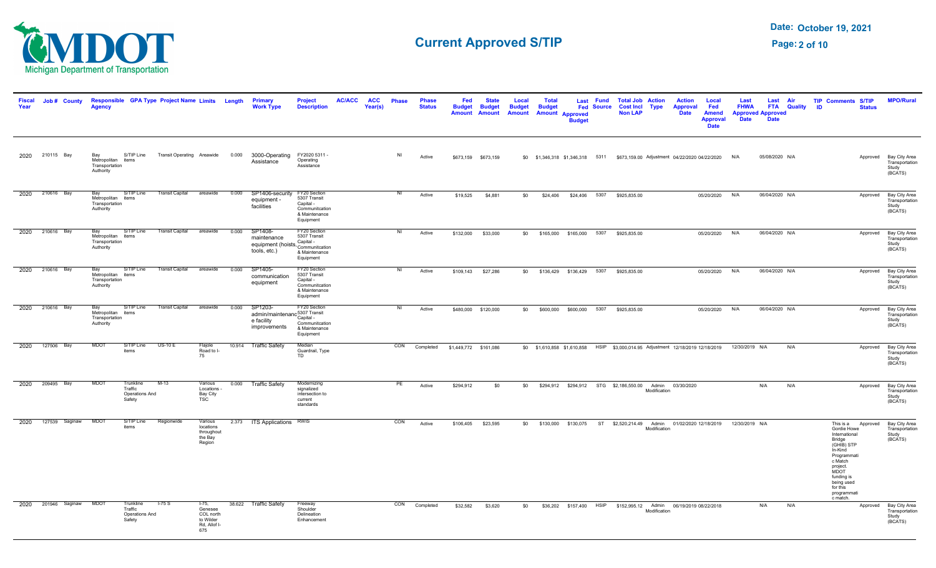

| <b>Fiscal</b><br>Year | Job # County             | Aaencv                                                   |                                                  | Responsible GPA Type Project Name Limits Length |                                                                     |       | <b>Primary</b><br><b>Work Type</b>                                                     | <b>Project</b><br><b>Description</b>                                                      | <b>AC/ACC</b> | <b>ACC</b><br>Year(s) | <b>Phase</b>   | <b>Phase</b><br><b>Status</b> | Fed<br><b>Budget</b><br><b>Amount</b> | <b>State</b><br><b>Budget</b><br><b>Amount</b> | Local<br><b>Budget</b><br><b>Amount</b> | <b>Total</b><br><b>Budget</b>             | <b>Amount Approved</b><br><b>Budget</b> | Last Fund<br><b>Fed Source</b> | <b>Non LAP</b>             | <b>Total Job Action</b><br><b>Cost Incl Type</b>                            | <b>Action</b><br><b>Approval</b><br><b>Date</b>                                                 | Local<br>Fed<br><b>Amend</b><br><b>Approval</b><br><b>Date</b> | Last<br><b>FHWA</b><br><b>Date</b> | Last Air<br><b>Approved Approved</b><br><b>Date</b> | <b>FTA</b> Quality | <b>TIP Comments S/TIP</b><br><b>ID</b><br><b>Status</b>                                                                                                                                                | <b>MPO/Rural</b>                                             |
|-----------------------|--------------------------|----------------------------------------------------------|--------------------------------------------------|-------------------------------------------------|---------------------------------------------------------------------|-------|----------------------------------------------------------------------------------------|-------------------------------------------------------------------------------------------|---------------|-----------------------|----------------|-------------------------------|---------------------------------------|------------------------------------------------|-----------------------------------------|-------------------------------------------|-----------------------------------------|--------------------------------|----------------------------|-----------------------------------------------------------------------------|-------------------------------------------------------------------------------------------------|----------------------------------------------------------------|------------------------------------|-----------------------------------------------------|--------------------|--------------------------------------------------------------------------------------------------------------------------------------------------------------------------------------------------------|--------------------------------------------------------------|
|                       | 2020 210115 Bay          | Bay<br>Metropolitan items<br>Transportation<br>Authority |                                                  |                                                 |                                                                     |       | S/TIP Line Transit Operating Areawide 0.000 3000-Operating FY2020 5311 -<br>Assistance | Operating<br>Assistance                                                                   |               |                       | NI             | Active                        |                                       | \$673,159 \$673,159                            |                                         |                                           |                                         |                                |                            |                                                                             | \$0 \$1,346,318 \$1,346,318 5311 \$673,159.00 Adjustment 04/22/2020 04/22/2020 N/A              |                                                                |                                    | 05/08/2020 N/A                                      |                    |                                                                                                                                                                                                        | Approved Bay City Area<br>Transportation<br>Study<br>(BCATS) |
|                       | 2020 210616 Bay          | Bav<br>Metropolitan items<br>Transportation<br>Authority | S/TIP Line                                       | Transit Capital areawide                        |                                                                     | 0.000 | SP1406-security FY20 Section<br>equipment -<br>facilities                              | 5307 Transit<br>Capital -<br>Communitcation<br>& Maintenance<br>Equipment                 |               |                       | N <sub>1</sub> | Active                        | \$19,525                              | \$4,881                                        | \$0                                     | \$24,406                                  |                                         |                                | \$24,406 5307 \$925,835.00 |                                                                             |                                                                                                 | 05/20/2020 N/A                                                 |                                    | 06/04/2020 N/A                                      |                    |                                                                                                                                                                                                        | Approved Bay City Area<br>Transportation<br>Study<br>(BCATS) |
|                       | 2020 210616 Bay          | Bay<br>Metropolitan items<br>Transportation<br>Authority |                                                  | S/TIP Line Transit Capital areawide             |                                                                     | 0.000 | SP1408-<br>maintenance<br>equipment (hoists, Communitation<br>tools, etc.)             | FY20 Section<br>5307 Transit<br>Capital -<br>& Maintenance<br>Equipment                   |               |                       | N <sub>1</sub> | Active                        |                                       | \$132,000 \$33,000                             |                                         | \$0 \$165,000 \$165,000 5307 \$925,835.00 |                                         |                                |                            |                                                                             |                                                                                                 | 05/20/2020 N/A                                                 |                                    | 06/04/2020 N/A                                      |                    |                                                                                                                                                                                                        | Approved Bay City Area<br>Transportation<br>Study<br>(BCATS) |
|                       | 2020 210616 Bay          | Bay<br>Metropolitan items<br>Transportation<br>Authority | S/TIP Line                                       | Transit Capital areawide                        |                                                                     | 0.000 | SP1405-<br>communication<br>equipment                                                  | FY20 Section<br>5307 Transit<br>Capital -<br>Communitcation<br>& Maintenance<br>Equipment |               |                       | NI             | Active                        | \$109,143                             | \$27,286                                       |                                         | \$0 \$136,429 \$136,429 5307 \$925,835.00 |                                         |                                |                            |                                                                             |                                                                                                 | 05/20/2020                                                     | N/A                                | 06/04/2020 N/A                                      |                    | Approved                                                                                                                                                                                               | Bay City Area<br>Transportation<br>Study<br>(BCATS)          |
|                       | 2020 210616 Bay          | Metropolitan items<br>Transportation<br>Authority        | Bay S/TIP Line                                   | <b>Transit Capital</b>                          | areawide                                                            | 0.000 | SP1203-<br>admin/maintenanc <sup>5307</sup> Transit<br>e facility<br>improvements      | FY20 Section<br>Capital -<br>Communitcation<br>& Maintenance<br>Equipment                 |               |                       | NI             | Active                        |                                       | \$480,000 \$120,000                            | \$0                                     |                                           | \$600,000 \$600,000 5307                |                                | \$925,835.00               |                                                                             |                                                                                                 | 05/20/2020 N/A                                                 |                                    | 06/04/2020 N/A                                      |                    |                                                                                                                                                                                                        | Approved Bay City Area<br>Transportation<br>Study<br>(BCATS) |
| 2020                  | 127506 Bay               | <b>MDOT</b>                                              | S/TIP Line<br>items                              | $US-10E$                                        | Flajole<br>Road to I-<br>75                                         |       | 10.914 Traffic Safety                                                                  | Median<br>Guardrail, Type<br><b>TD</b>                                                    |               |                       |                |                               | CON Completed \$1,449,772 \$161,086   |                                                |                                         |                                           |                                         |                                |                            |                                                                             | \$0 \$1,610,858 \$1,610,858 HSIP \$3,000,014.95 Adjustment 12/18/2019 12/18/2019 12/30/2019 N/A |                                                                |                                    |                                                     | N/A                |                                                                                                                                                                                                        | Approved Bay City Area<br>Transportation<br>Study<br>(BCATS) |
|                       | 2020 209495 Bay          | <b>MDOT</b>                                              | Trunkline<br>Traffic<br>Operations And<br>Safety | $M-13$                                          | Various<br>Locations -<br>Bay City<br>TSC                           |       | 0.000 Traffic Safety                                                                   | Modernizing<br>signalized<br>intersection to<br>current<br>standards                      |               |                       | PE             | Active                        | \$294,912                             | \$0                                            |                                         |                                           |                                         |                                |                            | \$0 \$294,912 \$294,912 STG \$2,186,550.00 Admin 03/30/2020<br>Modification |                                                                                                 |                                                                |                                    | N/A                                                 | N/A                |                                                                                                                                                                                                        | Approved Bay City Area<br>Transportation<br>Study<br>(BCATS) |
| 2020                  | 127539 Saginaw MDOT      |                                                          | S/TIP Line<br>items                              | Regionwide                                      | Various<br>locations<br>throughout<br>the Bay<br>Region             |       | 2.373 ITS Applications RWIS                                                            |                                                                                           |               |                       | CON            | Active                        |                                       | \$106,405 \$23,595                             |                                         |                                           |                                         |                                |                            | Modification                                                                | \$0 \$130,000 \$130,075 ST \$2,520,214.49 Admin 01/02/2020 12/18/2019 12/30/2019 N/A            |                                                                |                                    |                                                     |                    | This is a Approved<br>Gordie Howe<br>International<br>Bridge<br>(GHIB) STP<br>In-Kind<br>Programmati<br>c Match<br>project.<br>MDOT<br>funding is<br>being used<br>for this<br>programmati<br>c match. | Bay City Area<br>Transportation<br>Study<br>(BCATS)          |
|                       | 2020 201946 Saginaw MDOT |                                                          | Trunkline<br>Traffic<br>Operations And<br>Safety | $-75S$                                          | $1-75,$<br>Genesee<br>COL north<br>to Wilder<br>Rd, Allof I-<br>675 |       | 38.622 Traffic Safety                                                                  | Freeway<br>Shoulder<br>Delineation<br>Enhancement                                         |               |                       |                | CON Completed                 | \$32,582                              | \$3,620                                        | \$0                                     |                                           |                                         |                                |                            | Modification                                                                | \$36,202 \$157,400 HSIP \$152,995.12 Admin 06/19/2019 08/22/2018                                |                                                                |                                    | N/A                                                 | N/A                | Approved                                                                                                                                                                                               | Bay City Area<br>Transportation<br>Study<br>(BCATS)          |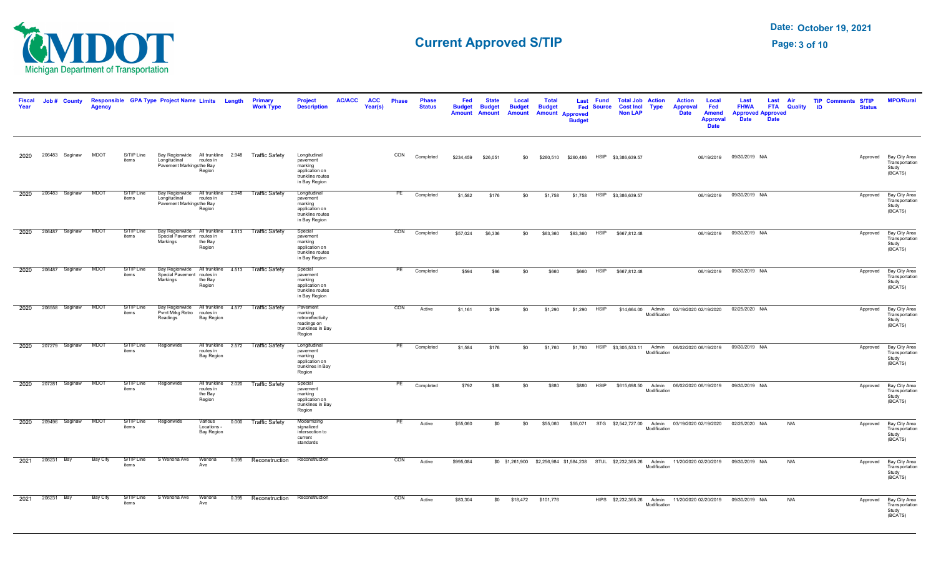

| <b>Fiscal</b><br>Year |            | Job # County        | Agency      |                     | Responsible GPA Type Project Name Limits Length                                               |                                      |       | Primary<br><b>Work Type</b>                       | <b>Project</b><br><b>Description</b>                                                       | <b>AC/ACC</b> | <b>ACC</b><br>Year(s) | <b>Phase</b> | <b>Phase</b><br><b>Status</b> | Fed<br><b>Budget</b><br>Amount | <b>State</b><br><b>Budget</b><br><b>Amount</b> | Local<br><b>Budget</b><br><b>Amount</b> | <b>Total</b><br><b>Budget</b> | <b>Amount Approved</b><br><b>Budget</b>                           | Last Fund<br><b>Fed Source</b> | <b>Total Job Action</b><br><b>Cost Incl Type</b><br><b>Non LAP</b> |                                   | <b>Action</b><br>Local<br><b>Approval</b><br>Fed<br><b>Date</b><br><b>Amend</b><br><b>Approval</b><br><b>Date</b> | Last<br><b>FHWA</b><br><b>Date</b> | Last<br><b>FTA</b> Quality<br><b>Approved Approved</b><br><b>Date</b> | Air | <b>TIP Comments S/TIP</b><br>ID | <b>Status</b> | <b>MPO/Rural</b>                                             |
|-----------------------|------------|---------------------|-------------|---------------------|-----------------------------------------------------------------------------------------------|--------------------------------------|-------|---------------------------------------------------|--------------------------------------------------------------------------------------------|---------------|-----------------------|--------------|-------------------------------|--------------------------------|------------------------------------------------|-----------------------------------------|-------------------------------|-------------------------------------------------------------------|--------------------------------|--------------------------------------------------------------------|-----------------------------------|-------------------------------------------------------------------------------------------------------------------|------------------------------------|-----------------------------------------------------------------------|-----|---------------------------------|---------------|--------------------------------------------------------------|
| 2020                  |            | 206483 Saginaw      | <b>MDOT</b> | S/TIP Line<br>items | Bay Regionwide All trunkline 2.948 Traffic Safety<br>Longitudinal<br>Pavement Markingsthe Bay | routes in<br>Region                  |       |                                                   | Longitudinal<br>pavement<br>marking<br>application on<br>trunkline routes<br>in Bay Region |               |                       | CON          | Completed                     | \$234.459                      | \$26.051                                       | \$0                                     |                               | \$260.510 \$260.486                                               |                                | HSIP \$3,386,639.57                                                |                                   | 06/19/2019                                                                                                        | 09/30/2019 N/A                     |                                                                       |     |                                 |               | Approved Bay City Area<br>Transportation<br>Study<br>(BCATS) |
| 2020                  |            | 206483 Saginaw      | <b>MDOT</b> | S/TIP Line<br>items | Longitudinal<br>Pavement Markingsthe Bay<br>Region                                            | routes in                            |       | Bay Regionwide All trunkline 2.948 Traffic Safety | Longitudinal<br>pavement<br>marking<br>application on<br>trunkline routes<br>in Bay Region |               |                       | PE           | Completed                     | \$1,582                        | \$176                                          | \$0                                     | \$1,758                       |                                                                   |                                | \$1,758 HSIP \$3,386,639.57                                        |                                   |                                                                                                                   | 06/19/2019  09/30/2019  N/A        |                                                                       |     |                                 | Approved      | Bay City Area<br>Transportation<br>Study<br>(BCATS)          |
| 2020                  |            | 206487 Saginaw      | <b>MDOT</b> | S/TIP Line<br>items | Special Pavement routes in<br>Markings                                                        | the Bay<br>Region                    |       | Bay Regionwide All trunkline 4.513 Traffic Safety | Special<br>pavement<br>marking<br>application on<br>trunkline routes<br>in Bay Region      |               |                       | CON          | Completed                     | \$57,024                       | \$6,336                                        | \$0                                     | \$63,360                      | \$63,360                                                          | <b>HSIP</b>                    | \$667,812.48                                                       |                                   | 06/19/2019                                                                                                        | 09/30/2019 N/A                     |                                                                       |     |                                 |               | Approved Bay City Area<br>Transportation<br>Study<br>(BCATS) |
| 2020                  |            | 206487 Saginaw      | <b>MDOT</b> | S/TIP Line<br>items | Special Pavement routes in<br>Markings                                                        | the Bay<br>Region                    |       | Bay Regionwide All trunkline 4.513 Traffic Safety | Special<br>pavement<br>marking<br>application on<br>trunkline routes<br>in Bay Region      |               |                       | PE           | Completed                     | \$594                          | \$66                                           | \$0                                     | \$660                         | \$660                                                             | <b>HSIP</b>                    | \$667,812.48                                                       |                                   |                                                                                                                   | 06/19/2019  09/30/2019  N/A        |                                                                       |     |                                 |               | Approved Bay City Area<br>Transportation<br>Study<br>(BCATS) |
| 2020                  |            | 206558 Saginaw MDOT |             | S/TIP Line<br>items | Pvmt Mrkg Retro routes in<br>Readings                                                         | Bay Region                           |       | Bay Regionwide All trunkline 4.577 Traffic Safety | Pavement<br>marking<br>retroreflectivity<br>readings on<br>trunklines in Bay<br>Region     |               |                       | CON          | Active                        | \$1,161                        | \$129                                          | \$0                                     | \$1,290                       | \$1,290                                                           | <b>HSIP</b>                    |                                                                    | \$14,664.00 Admin<br>Modification | 02/19/2020 02/19/2020                                                                                             | 02/25/2020 N/A                     |                                                                       |     |                                 | Approved      | Bay City Area<br>Transportation<br>Study<br>(BCATS)          |
| 2020                  |            | 207279 Saginaw      | <b>MDOT</b> | S/TIP Line<br>items | Regionwide                                                                                    | routes in<br><b>Bay Region</b>       |       | All trunkline 2.572 Traffic Safety                | Longitudinal<br>pavement<br>marking<br>application on<br>trunklnes in Bay<br>Region        |               |                       | PE           | Completed                     | \$1,584                        | \$176                                          | \$0                                     | \$1,760                       |                                                                   |                                | \$1,760 HSIP \$3,305,533,11 Admin                                  | Modification                      | 06/02/2020 06/19/2019                                                                                             | 09/30/2019 N/A                     |                                                                       |     |                                 | Approved      | Bay City Area<br>Transportation<br>Study<br>(BCATS)          |
| 2020                  |            | 207281 Saginaw      | <b>MDOT</b> | S/TIP Line<br>items | Regionwide                                                                                    | routes in<br>the Bay<br>Region       |       | All trunkline 2.020 Traffic Safety                | Special<br>pavement<br>marking<br>application on<br>trunklines in Bay<br>Region            |               |                       | PE           | Completed                     | \$792                          | \$88                                           | \$0                                     | \$880                         | \$880                                                             | <b>HSIP</b>                    | \$615,698.50                                                       | Admin<br>Modification             | 06/02/2020 06/19/2019  09/30/2019  N/A                                                                            |                                    |                                                                       |     |                                 | Approved      | Bay City Area<br>Transportation<br>Study<br>(BCATS)          |
| 2020                  |            | 209496 Saginaw      | <b>MDOT</b> | S/TIP Line<br>items | Regionwide                                                                                    | Various<br>Locations -<br>Bay Region |       | 0.000 Traffic Safety                              | Modernizing<br>signalized<br>intersection to<br>current<br>standards                       |               |                       | PE           | Active                        | \$55,060                       | \$0                                            | \$0                                     | \$55,060                      |                                                                   |                                | \$55,071 STG \$2,542,727.00 Admin                                  | Modification                      | 03/19/2020 02/19/2020                                                                                             | 02/25/2020 N/A                     |                                                                       | N/A |                                 |               | Approved Bay City Area<br>Transportation<br>Study<br>(BCATS) |
| 2021                  | 206231 Bay |                     | Bay City    | S/TIP Line<br>items | S Wenona Ave                                                                                  | Wenona<br>Ave                        | 0.395 | Reconstruction                                    | Reconstruction                                                                             |               |                       | CON          | Active                        | \$995,084                      |                                                |                                         |                               | \$0 \$1,261,900 \$2,256,984 \$1,584,238 STUL \$2,232,365.26 Admin |                                |                                                                    | Modification                      | 11/20/2020 02/20/2019                                                                                             | 09/30/2019 N/A                     |                                                                       | N/A |                                 | Approved      | Bay City Area<br>Transportation<br>Study<br>(BCATS)          |
| 2021                  | 206231 Bay |                     | Bay City    | S/TIP Line<br>items | S Wenona Ave                                                                                  | Wenona<br>Ave                        |       | 0.395 Reconstruction                              | Reconstruction                                                                             |               |                       | CON          | Active                        | \$83,304                       |                                                | \$0 \$18,472 \$101,776                  |                               |                                                                   |                                |                                                                    | Modification                      | HIPS \$2,232,365.26 Admin 11/20/2020 02/20/2019                                                                   | 09/30/2019 N/A                     |                                                                       | N/A |                                 | Approved      | Bay City Area<br>Transportation<br>Study<br>(BCATS)          |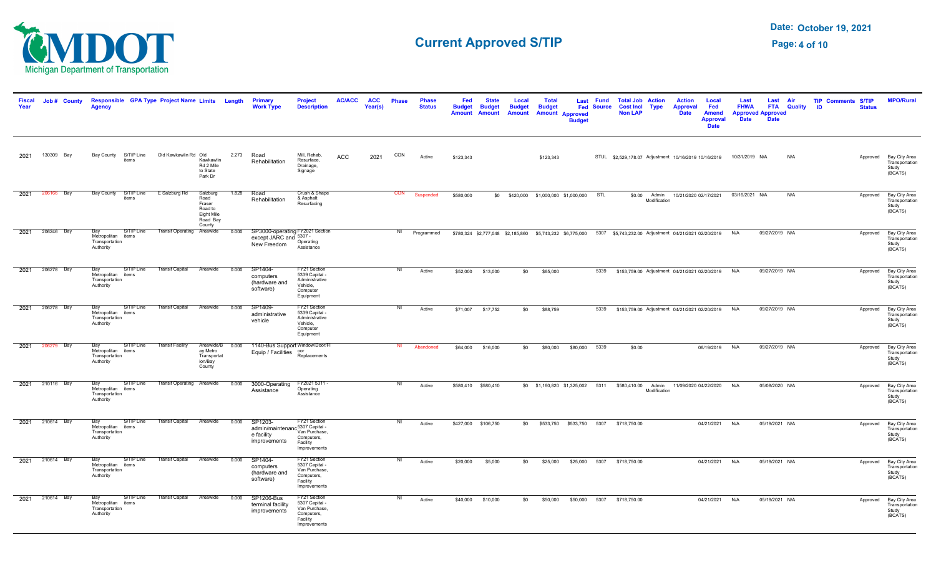

| <b>Fiscal</b><br>Year | Job # County    | Responsible GPA Type Project Name Limits Length<br>Aaencv                                          |                                             |                                                                           |       | <b>Primary</b><br><b>Work Type</b>                                                         | <b>Project</b><br><b>Description</b>                                                      | <b>AC/ACC</b> | <b>ACC</b><br>Year(s) | <b>Phase</b>   | <b>Phase</b><br><b>Status</b>                                                                                                    | Fed<br><b>Budget</b><br><b>Amount</b> | <b>State</b><br><b>Budget</b><br><b>Amount</b> | Local<br><b>Budget</b>                    | <b>Total</b><br><b>Budget</b> | Amount Amount Approved<br><b>Budget</b> | Last Fund<br><b>Fed Source</b> | <b>Total Job Action</b><br><b>Cost Incl Type</b><br><b>Non LAP</b>            |              | <b>Action</b><br><b>Approval</b><br><b>Date</b>   | Local<br>Fed<br><b>Amend</b><br><b>Approval</b><br><b>Date</b> | Last<br><b>FHWA</b><br><b>Date</b> | Last Air<br><b>Approved Approved</b><br><b>Date</b> | <b>FTA</b> Quality | <b>TIP Comments S/TIP</b><br><b>ID</b><br><b>Status</b> | <b>MPO/Rural</b>                                             |
|-----------------------|-----------------|----------------------------------------------------------------------------------------------------|---------------------------------------------|---------------------------------------------------------------------------|-------|--------------------------------------------------------------------------------------------|-------------------------------------------------------------------------------------------|---------------|-----------------------|----------------|----------------------------------------------------------------------------------------------------------------------------------|---------------------------------------|------------------------------------------------|-------------------------------------------|-------------------------------|-----------------------------------------|--------------------------------|-------------------------------------------------------------------------------|--------------|---------------------------------------------------|----------------------------------------------------------------|------------------------------------|-----------------------------------------------------|--------------------|---------------------------------------------------------|--------------------------------------------------------------|
|                       | 2021 130309 Bay | Bay County S/TIP Line Old Kawkawlin Rd Old<br>items                                                |                                             | Kawkawlin<br>Rd 2 Mile<br>to State<br>Park Dr                             |       | 2.273 Road<br>Rehabilitation                                                               | Mill, Rehab,<br>Resurface,<br>Drainage,<br>Signage                                        | ACC           | 2021                  | CON            | Active                                                                                                                           | \$123,343                             |                                                |                                           | \$123,343                     |                                         |                                | STUL \$2,529,178.07 Adjustment 10/16/2019 10/16/2019  10/31/2019  N/A         |              |                                                   |                                                                |                                    |                                                     | N/A                |                                                         | Approved Bay City Area<br>Transportation<br>Study<br>(BCATS) |
|                       | 2021 206166 Bay | Bay County S/TIP Line E Salzburg Rd<br>items                                                       |                                             | Salzburg<br>Road<br>Fraser<br>Road to<br>Eight Mile<br>Road Bay<br>County | 1.828 | Road<br>Rehabilitation                                                                     | Crush & Shape<br>& Asphalt<br>Resurfacing                                                 |               |                       |                | CON Suspended                                                                                                                    | \$580,000                             |                                                | \$0 \$420,000 \$1,000,000 \$1,000,000 STL |                               |                                         |                                |                                                                               | Modification | \$0.00 Admin 10/21/2020 02/17/2021 03/16/2021 N/A |                                                                |                                    |                                                     | N/A                |                                                         | Approved Bay City Area<br>Transportation<br>Study<br>(BCATS) |
|                       | 2021 206246 Bay | Bay<br>Metropolitan items<br>Transportation<br>Authority                                           | S/TIP Line Transit Operating Areawide 0.000 |                                                                           |       | SP3000-operating FY2021 Section<br>except JARC and 5307<br>New Freedom Operating           | Operating                                                                                 |               |                       |                | NI Programmed \$780,324 \$2,777,048 \$2,185,860 \$5,743,232 \$6,775,000 5307 \$5,743,232.00 Adjustment 04/21/2021 02/20/2019 N/A |                                       |                                                |                                           |                               |                                         |                                |                                                                               |              |                                                   |                                                                |                                    | 09/27/2019 N/A                                      |                    |                                                         | Approved Bay City Area<br>Transportation<br>Study<br>(BCATS) |
|                       | 2021 206278 Bay | Bay S/TIP Line Transit Capital Areawide 0.000<br>Metropolitan items<br>Transportation<br>Authority |                                             |                                                                           |       | SP1404-<br>computers<br>(hardware and<br>software)                                         | FY21 Section<br>5339 Capital -<br>Administrative<br>Vehicle,<br>Computer<br>Equipment     |               |                       | N              | Active                                                                                                                           |                                       | \$52,000 \$13,000                              |                                           | \$0 \$65,000                  |                                         |                                | 5339 \$153,759.00 Adjustment 04/21/2021 02/20/2019 N/A                        |              |                                                   |                                                                |                                    | 09/27/2019 N/A                                      |                    |                                                         | Approved Bay City Area<br>Transportation<br>Study<br>(BCATS) |
|                       | 2021 206278 Bay | Bay S/TIP Line Transit Capital Areawide 0.000<br>Metropolitan items<br>Transportation<br>Authority |                                             |                                                                           |       | SP1409-<br>administrative<br>vehicle                                                       | FY21 Section<br>5339 Capital -<br>Administrative<br>Vehicle,<br>Computer<br>Equipment     |               |                       | NI             | Active                                                                                                                           |                                       | \$71,007 \$17,752                              |                                           | \$0 \$88,759                  |                                         |                                | 5339 \$153,759.00 Adjustment 04/21/2021 02/20/2019 N/A                        |              |                                                   |                                                                |                                    | 09/27/2019 N/A                                      |                    |                                                         | Approved Bay City Area<br>Transportation<br>Study<br>(BCATS) |
|                       | 2021 206279 Bay | Bay S/TIP Line Transit Facility<br>Metropolitan items<br>Transportation<br>Authority               |                                             | ay Metro<br>Transportat<br>ion/Bay<br>County                              |       | Areawide/B 0.000 1140-Bus Support Window/Door/FI<br>Equip / Facilities oor<br>Replacements |                                                                                           |               |                       |                | NI Abandoned                                                                                                                     |                                       | \$64,000 \$16,000                              | \$0                                       | \$80,000                      | \$80,000 5339                           |                                | \$0.00                                                                        |              |                                                   | 06/19/2019 N/A                                                 |                                    | 09/27/2019 N/A                                      |                    |                                                         | Approved Bay City Area<br>Transportation<br>Study<br>(BCATS) |
|                       | 2021 210116 Bay | Bay<br>Metropolitan items<br>Transportation<br>Authority                                           | S/TIP Line Transit Operating Areawide 0.000 |                                                                           |       | 3000-Operating<br>Assistance                                                               | FY2021 5311 -<br>Operating<br>Assistance                                                  |               |                       | N <sub>1</sub> | Active                                                                                                                           |                                       | \$580,410 \$580,410                            |                                           |                               |                                         |                                | \$0 \$1,160,820 \$1,325,002 5311 \$580,410.00 Admin 11/09/2020 04/22/2020 N/A | Modification |                                                   |                                                                |                                    | 05/08/2020 N/A                                      |                    |                                                         | Approved Bay City Area<br>Transportation<br>Study<br>(BCATS) |
|                       | 2021 210614 Bay | Bay S/TIP Line Transit Capital Areawide 0.000<br>Metropolitan items<br>Transportation<br>Authority |                                             |                                                                           |       | SP1203-<br>admin/maintenanc <sup>5307</sup> Capital -<br>e facility<br>improvements        | FY21 Section<br>Van Purchase,<br>Computers,<br>Facility<br>Improvements                   |               |                       | $\overline{N}$ | Active                                                                                                                           |                                       | \$427,000 \$106,750                            |                                           |                               |                                         |                                | \$0 \$533,750 \$533,750 5307 \$718,750.00                                     |              |                                                   | 04/21/2021 N/A                                                 |                                    | 05/19/2021 N/A                                      |                    |                                                         | Approved Bay City Area<br>Transportation<br>Study<br>(BCATS) |
|                       | 2021 210614 Bay | Bay S/TIP Line Transit Capital Areawide 0.000<br>Metropolitan items<br>Transportation<br>Authority |                                             |                                                                           |       | SP1404-<br>computers<br>(hardware and<br>software)                                         | FY21 Section<br>5307 Capital -<br>Van Purchase,<br>Computers,<br>Facility<br>Improvements |               |                       | NI             | Active                                                                                                                           | \$20,000                              | \$5,000                                        | \$0                                       |                               |                                         |                                | \$25,000 \$25,000 5307 \$718,750.00                                           |              |                                                   | 04/21/2021 N/A                                                 |                                    | 05/19/2021 N/A                                      |                    |                                                         | Approved Bay City Area<br>Transportation<br>Study<br>(BCATS) |
|                       | 2021 210614 Bay | Bay S/TIP Line Transit Capital Areawide 0.000<br>Metropolitan items<br>Transportation<br>Authority |                                             |                                                                           |       | SP1206-Bus<br>terminal facility<br>improvements                                            | FY21 Section<br>5307 Capital -<br>Van Purchase,<br>Computers,<br>Facility<br>Improvements |               |                       | $\overline{N}$ | Active                                                                                                                           |                                       | \$40,000 \$10,000                              |                                           |                               |                                         |                                | \$0 \$50,000 \$50,000 5307 \$718,750.00                                       |              |                                                   | 04/21/2021 N/A                                                 |                                    | 05/19/2021 N/A                                      |                    |                                                         | Approved Bay City Area<br>Transportation<br>Study<br>(BCATS) |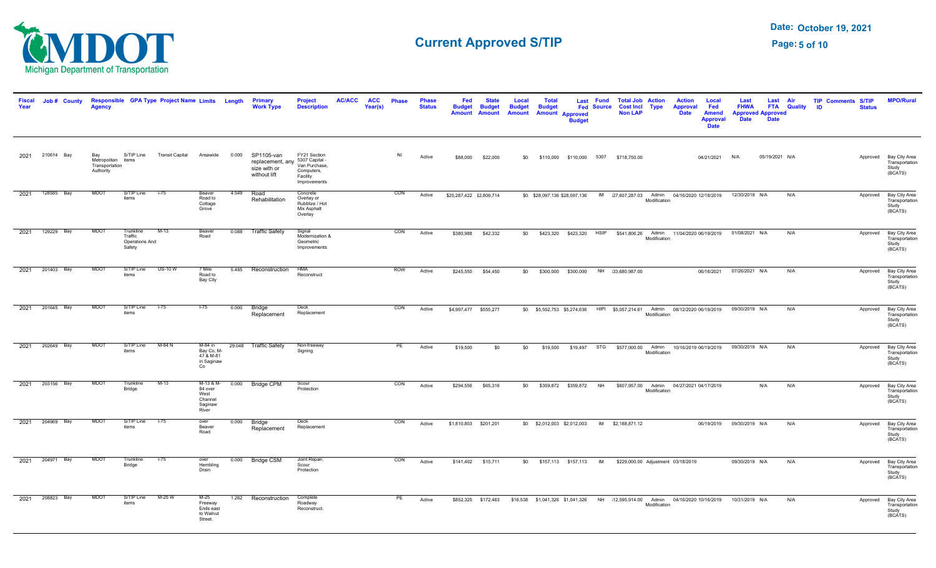

| <b>Fiscal</b><br>Year | Job # County    | <b>Agency</b>                                            |                                                  | Responsible GPA Type Project Name Limits Length |                                                             |       | <b>Primary</b><br><b>Work Type</b>                             | <b>Project</b><br><b>Description</b>                                                      | <b>AC/ACC</b> | <b>ACC</b><br>Year(s) | <b>Phase</b> | <b>Phase</b><br><b>Status</b> | Fed<br><b>Budget</b><br><b>Amount</b> | <b>State</b><br><b>Budget</b><br><b>Amount</b> | Local<br><b>Budget</b><br><b>Amount</b> | Total<br><b>Budget</b> | <b>Amount Approved</b><br><b>Budget</b> | Last Fund<br><b>Fed Source</b> | <b>Total Job Action</b><br><b>Non LAP</b>                     | <b>Cost Incl Type</b> | <b>Action</b><br><b>Approval</b><br><b>Date</b>                               | Local<br>Fed<br><b>Amend</b><br><b>Approval</b><br><b>Date</b> | Last<br><b>FHWA</b><br><b>Approved Approved</b><br><b>Date</b> | Last<br><b>Date</b> | Air<br><b>FTA</b> Quality | <b>TIP Comments S/TIP</b><br><b>ID</b> | <b>Status</b> | <b>MPO/Rural</b>                                             |
|-----------------------|-----------------|----------------------------------------------------------|--------------------------------------------------|-------------------------------------------------|-------------------------------------------------------------|-------|----------------------------------------------------------------|-------------------------------------------------------------------------------------------|---------------|-----------------------|--------------|-------------------------------|---------------------------------------|------------------------------------------------|-----------------------------------------|------------------------|-----------------------------------------|--------------------------------|---------------------------------------------------------------|-----------------------|-------------------------------------------------------------------------------|----------------------------------------------------------------|----------------------------------------------------------------|---------------------|---------------------------|----------------------------------------|---------------|--------------------------------------------------------------|
|                       | 2021 210614 Bay | Bay<br>Metropolitan items<br>Transportation<br>Authority | S/TIP Line                                       | <b>Transit Capital</b>                          | Areawide                                                    | 0.000 | SP1105-van<br>replacement, any<br>size with or<br>without lift | FY21 Section<br>5307 Capital -<br>Van Purchase,<br>Computers,<br>Facility<br>Improvements |               |                       | NI           | Active                        | \$88,000                              | \$22,000                                       | \$0                                     |                        |                                         |                                | \$110,000 \$110,000 5307 \$718,750.00                         |                       |                                                                               | 04/21/2021                                                     | N/A                                                            | 05/19/2021 N/A      |                           |                                        |               | Approved Bay City Area<br>Transportation<br>Study<br>(BCATS) |
| 2021                  | 128585 Bay      | <b>MDOT</b>                                              | S/TIP Line<br>items                              | $1 - 75$                                        | Beaver<br>Road to<br>Cottage<br>Grove                       | 4.549 | Road<br>Rehabilitation                                         | Concrete<br>Overlay or<br>Rubblize / Hot<br>Mix Asphalt<br>Overlay                        |               |                       | CON          | Active                        | \$25,287,422 \$2,809,714              |                                                |                                         |                        | \$0 \$28,097,136 \$28,097,136           |                                |                                                               | Modification          | IM 27,607,287.03 Admin 04/16/2020 12/18/2019                                  |                                                                | 12/30/2019 N/A                                                 |                     | N/A                       |                                        | Approved      | Bay City Area<br>Transportation<br>Study<br>(BCATS)          |
|                       | 2021 129229 Bay | <b>MDOT</b>                                              | Trunkline<br>Traffic<br>Operations And<br>Safety | $M-13$                                          | Beaver<br>Road                                              |       | 0.088 Traffic Safety                                           | Signal<br>Modernization &<br>Geometric<br>Improvements                                    |               |                       | CON          | Active                        | \$380,988                             | \$42,332                                       | \$0                                     |                        | \$423,320    \$423,320    HSIP          |                                |                                                               | Modification          | \$541,806.26 Admin 11/04/2020 06/19/2019                                      |                                                                | 01/08/2021 N/A                                                 |                     | N/A                       |                                        | Approved      | Bay City Area<br>Transportation<br>Study<br>(BCATS)          |
| 2021                  | 201403 Bay      | <b>MDOT</b>                                              | S/TIP Line<br>items                              | <b>US-10 W</b>                                  | 7 Mile<br>Road to<br>Bay City                               | 5.485 | Reconstruction                                                 | <b>HMA</b><br>Reconstruct                                                                 |               |                       | <b>ROW</b>   | Active                        | \$245,550                             | \$54,450                                       | \$0                                     |                        | \$300,000 \$300,000                     |                                | NH 33.680.987.00                                              |                       |                                                                               | 06/16/2021                                                     | 07/26/2021 N/A                                                 |                     | N/A                       |                                        |               | Approved Bay City Area<br>Transportation<br>Study<br>(BCATS) |
| 2021                  | 201645 Bay      | <b>MDOT</b>                                              | S/TIP Line<br>items                              | $1-75$                                          | $1 - 75$                                                    | 0.000 | Bridge<br>Replacement                                          | Deck<br>Replacement                                                                       |               |                       | CON          | Active                        | \$4,997,477 \$555,277                 |                                                |                                         |                        |                                         |                                |                                                               | Modification          | \$0 \$5,552,753 \$5,274,636 HIPI \$5,057,214.61 Admin 08/12/2020 06/19/2019   |                                                                | 09/30/2019 N/A                                                 |                     | N/A                       |                                        | Approved      | Bay City Area<br>Transportation<br>Study<br>(BCATS)          |
| 2021                  | 202649 Bay      | <b>MDOT</b>                                              | S/TIP Line<br>items                              | M-84 N                                          | M-84 in<br>Bay Co, M-<br>47 & M-81<br>in Saginaw<br>Co      |       | 29.048 Traffic Safety                                          | Non-freeway<br>Signing                                                                    |               |                       | PE           | Active                        | \$19,500                              | \$0                                            | \$0                                     | \$19,500               | \$19,497 STG                            |                                |                                                               | Modification          | \$577,000.00 Admin 10/16/2019 06/19/2019                                      |                                                                | 09/30/2019 N/A                                                 |                     | N/A                       |                                        | Approved      | Bay City Area<br>Transportation<br>Study<br>(BCATS)          |
|                       | 2021 203156 Bay | <b>MDOT</b>                                              | Trunkline<br>Bridge                              | $M-13$                                          | M-13 & M-<br>84 over<br>West<br>Channel<br>Saginaw<br>River |       | 0.000 Bridge CPM                                               | Scour<br>Protection                                                                       |               |                       | CON          | Active                        | \$294,556                             | \$65,316                                       | \$0                                     |                        | \$359,872 \$359,872 NH                  |                                |                                                               | Modification          | \$607,957.00 Admin 04/27/2021 04/17/2019                                      |                                                                |                                                                | N/A                 | N/A                       |                                        | Approved      | Bay City Area<br>Transportation<br>Study<br>(BCATS)          |
| 2021                  | 204969 Bay      | <b>MDOT</b>                                              | S/TIP Line<br>items                              | $1 - 75$                                        | over<br>Beaver<br>Road                                      | 0.000 | Bridge<br>Replacement                                          | Deck<br>Replacement                                                                       |               |                       | CON          | Active                        | \$1,810,803 \$201,201                 |                                                |                                         |                        | \$0 \$2,012,003 \$2,012,003             |                                | IM \$2,188,871.12                                             |                       |                                                                               |                                                                | 06/19/2019  09/30/2019  N/A                                    |                     | N/A                       |                                        |               | Approved Bay City Area<br>Transportation<br>Study<br>(BCATS) |
|                       | 2021 204971 Bay | <b>MDOT</b>                                              | Trunkline<br>Bridge                              | $1-75$                                          | over<br>Hembling<br>Drain                                   |       | 0.000 Bridge CSM                                               | Joint Repair,<br>Scour<br>Protection                                                      |               |                       | CON          | Active                        | \$141,402                             | \$15,711                                       |                                         |                        |                                         |                                | \$0 \$157,113 \$157,113 IM \$229,000.00 Adjustment 03/18/2019 |                       |                                                                               |                                                                | 09/30/2019 N/A                                                 |                     | N/A                       |                                        | Approved      | Bay City Area<br>Transportation<br>Study<br>(BCATS)          |
| 2021                  | 208823 Bay      | <b>MDOT</b>                                              | S/TIP Line<br>items                              | M-25 W                                          | $M-25$<br>Freeway<br>Ends east<br>to Walnut<br>Street.      |       | 1.262 Reconstruction                                           | Complete<br>Roadway<br>Reconstruct.                                                       |               |                       | PE           | Active                        |                                       | \$852,325 \$172,463                            |                                         |                        |                                         |                                |                                                               | Modification          | \$16,538 \$1,041,326 \$1,041,326 NH 12,595,914.00 Admin 04/16/2020 10/16/2019 |                                                                | 10/31/2019 N/A                                                 |                     | N/A                       |                                        |               | Approved Bay City Area<br>Transportation<br>Study<br>(BCATS) |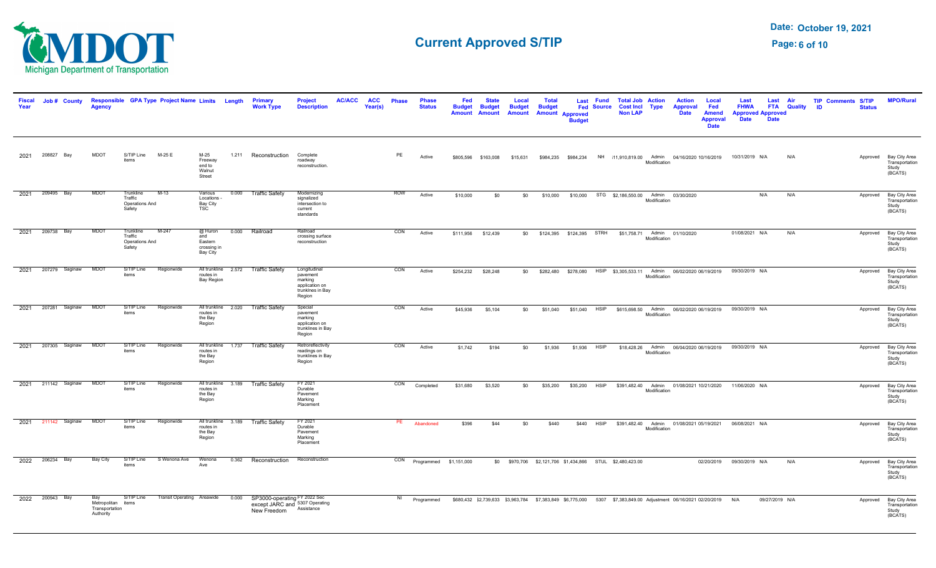

| Year | Job # County        | <b>Agency</b>                                            |                                                  | Responsible GPA Type Project Name Limits Length |                                                       |                     | Primary<br><b>Work Type</b>                                                   | <b>Description</b>                                                                  | <b>AC/ACC</b> | <b>ACC</b><br>Year(s) | <b>Phase</b> | <b>Phase</b><br><b>Status</b> | Fed<br><b>Budget</b><br><b>Amount</b> | <b>Budget</b><br>Amount | Local<br><b>Budget</b><br>Amount | Total<br><b>Budget</b> | Last<br><b>Amount Approved</b><br><b>Budget</b> | <b>Fund</b><br><b>Fed Source</b> | <b>Total Job Action</b><br><b>Cost Incl Type</b><br><b>Non LAP</b>                                                                     |              | <b>Action</b><br><b>Approval</b><br><b>Date</b> | Local<br>Fed<br><b>Amend</b><br><b>Approval</b><br><b>Date</b> | Last<br><b>FHWA</b><br><b>Approved Approved</b><br><b>Date</b> | Last<br><b>FTA</b><br><b>Date</b> | Air<br><b>Quality</b> | <b>Comments S/TIP</b><br><b>TIP</b><br>-ID<br><b>Status</b> | <b>MPO/Rural</b>                                             |
|------|---------------------|----------------------------------------------------------|--------------------------------------------------|-------------------------------------------------|-------------------------------------------------------|---------------------|-------------------------------------------------------------------------------|-------------------------------------------------------------------------------------|---------------|-----------------------|--------------|-------------------------------|---------------------------------------|-------------------------|----------------------------------|------------------------|-------------------------------------------------|----------------------------------|----------------------------------------------------------------------------------------------------------------------------------------|--------------|-------------------------------------------------|----------------------------------------------------------------|----------------------------------------------------------------|-----------------------------------|-----------------------|-------------------------------------------------------------|--------------------------------------------------------------|
| 2021 | Bay<br>208827       | <b>MDOT</b>                                              | S/TIP Line<br>items                              | M-25 E                                          | M-25<br>Freeway<br>end to<br>Walnut<br>Street         |                     | 1.211 Reconstruction                                                          | Complete<br>roadway<br>reconstruction.                                              |               |                       | PE           | Active                        | \$805,596                             | \$163,008               | \$15,631                         | \$984,235              | \$984,234                                       | <b>NH</b>                        | 11,910,819.00 Admin 04/16/2020 10/16/2019                                                                                              | Modification |                                                 |                                                                | 10/31/2019 N/A                                                 |                                   | N/A                   |                                                             | Approved Bay City Area<br>Transportation<br>Study<br>(BCATS) |
| 2021 | 209495 Bay          | MDO <sub>1</sub>                                         | Trunkline<br>Traffic<br>Operations And<br>Safety | $M-13$                                          | Various<br>Locations -<br>Bay City<br>TSC             | 0.000               | <b>Traffic Safety</b>                                                         | Modernizing<br>signalized<br>intersection to<br>current<br>standards                |               |                       | <b>ROW</b>   | Active                        | \$10,000                              | \$0                     | \$0                              | \$10,000               |                                                 |                                  | \$10,000 STG \$2,186,550.00 Admin                                                                                                      | Modification | 03/30/2020                                      |                                                                |                                                                | N/A                               | N/A                   | Approved                                                    | Bay City Area<br>Transportation<br>Study<br>(BCATS)          |
|      | 2021 209738 Bay     | <b>MDOT</b>                                              | Trunkline<br>Traffic<br>Operations And<br>Safety | $M-247$                                         | @ Huron<br>and<br>Eastern<br>crossing in<br>Bay City  |                     | 0.000 Railroad                                                                | Railroad<br>crossing surface<br>reconstruction                                      |               |                       | CON          | Active                        | \$111,956                             | \$12,439                | \$0                              |                        | \$124,395 \$124,395 STRH                        |                                  |                                                                                                                                        | Modification | \$51,758.71 Admin 01/10/2020                    |                                                                | 01/08/2021 N/A                                                 |                                   | N/A                   | Approved                                                    | Bay City Area<br>Transportation<br>Study<br>(BCATS)          |
| 2021 | 207279 Saginaw      | <b>MDOT</b>                                              | S/TIP Line<br>items                              | Regionwide                                      | routes in<br>Bay Region                               | All trunkline 2.572 | <b>Traffic Safety</b>                                                         | Longitudinal<br>pavement<br>marking<br>application on<br>trunklnes in Bay<br>Region |               |                       | CON          | Active                        | \$254,232                             | \$28,248                | \$0                              | \$282,480              | \$278,080                                       |                                  | HSIP \$3,305,533.11 Admin                                                                                                              | Modification | 06/02/2020 06/19/2019                           |                                                                | 09/30/2019 N/A                                                 |                                   |                       | Approved                                                    | Bay City Area<br>Transportation<br>Study<br>(BCATS)          |
|      | 2021 207281 Saginaw | <b>MDOT</b>                                              | S/TIP Line<br>items                              | Regionwide                                      | routes in<br>the Bay<br>Region                        |                     | All trunkline 2.020 Traffic Safety                                            | Special<br>pavement<br>marking<br>application on<br>trunklines in Bay<br>Region     |               |                       | CON          | Active                        | \$45,936                              | \$5,104                 | \$0                              | \$51,040               | \$51,040                                        | <b>HSIP</b>                      | \$615,698.50 Admin                                                                                                                     | Modification | 06/02/2020 06/19/2019                           |                                                                | 09/30/2019 N/A                                                 |                                   |                       | Approved                                                    | Bay City Area<br>Transportation<br>Study<br>(BCATS)          |
|      | 2021 207305 Saginaw | <b>MDOT</b>                                              | S/TIP Line<br>items                              | Regionwide                                      | All trunkline 1.737<br>routes in<br>the Bay<br>Region |                     | <b>Traffic Safety</b>                                                         | Retroreflectivity<br>readings on<br>trunklines in Bay<br>Region                     |               |                       | CON          | Active                        | \$1,742                               | \$194                   | \$0                              | \$1,936                | \$1,936                                         | <b>HSIP</b>                      |                                                                                                                                        | Modification | \$18,428.26 Admin 06/04/2020 06/19/2019         |                                                                | 09/30/2019 N/A                                                 |                                   |                       |                                                             | Approved Bay City Area<br>Transportation<br>Study<br>(BCATS) |
| 2021 | 211142 Saginaw      | <b>MDOT</b>                                              | S/TIP Line<br>items                              | Regionwide                                      | All trunkline<br>routes in<br>the Bay<br>Region       | 3.189               | <b>Traffic Safety</b>                                                         | FY 2021<br>Durable<br>Pavement<br>Marking<br>Placement                              |               |                       | CON          | Completed                     | \$31,680                              | \$3,520                 | \$0                              | \$35,200               | \$35,200                                        | <b>HSIP</b>                      |                                                                                                                                        | Modification | \$391,482.40 Admin 01/08/2021 10/21/2020        |                                                                | 11/06/2020 N/A                                                 |                                   |                       |                                                             | Approved Bay City Area<br>Transportation<br>Study<br>(BCATS) |
| 2021 | 211142 Saginaw      | <b>MDOT</b>                                              | S/TIP Line<br>items                              | Regionwide                                      | routes in<br>the Bay<br>Region                        | All trunkline 3.189 | Traffic Safety                                                                | FY 2021<br>Durable<br>Pavement<br>Marking<br>Placement                              |               |                       | PE           | Abandoned                     | \$396                                 | \$44                    | \$0                              | \$440                  | \$440                                           | <b>HSIP</b>                      |                                                                                                                                        | Modification | \$391,482.40 Admin 01/08/2021 05/19/2021        |                                                                | 06/08/2021 N/A                                                 |                                   |                       | Approved                                                    | Bay City Area<br>Transportation<br>Study<br>(BCATS)          |
|      | 2022 206234 Bay     | Bay City                                                 | S/TIP Line<br>items                              | S Wenona Ave                                    | Wenona<br>Ave                                         |                     | 0.362 Reconstruction                                                          | Reconstruction                                                                      |               |                       | CON          | Programmed \$1,151,000        |                                       |                         |                                  |                        |                                                 |                                  | \$0 \$970,706 \$2,121,706 \$1,434,866 STUL \$2,480,423.00                                                                              |              |                                                 |                                                                | 02/20/2019  09/30/2019  N/A                                    |                                   | N/A                   |                                                             | Approved Bay City Area<br>Transportation<br>Study<br>(BCATS) |
| 2022 | 200943 Bay          | Bay<br>Metropolitan items<br>Transportation<br>Authority | S/TIP Line                                       | Transit Operating Areawide                      |                                                       | 0.000               | SP3000-operating FY 2022 Sec<br>except JARC and 5307 Operating<br>New Freedom | Assistance                                                                          |               |                       | NI           | Programmed                    |                                       |                         |                                  |                        |                                                 |                                  | \$680,432    \$2,739,633    \$3,963,784    \$7,383,849    \$6,775,000    5307    \$7,383,849.00    Adjustment 06/16/2021    02/20/2019 |              |                                                 |                                                                | N/A                                                            | 09/27/2019 N/A                    |                       |                                                             | Approved Bay City Area<br>Transportation<br>Study<br>(BCATS) |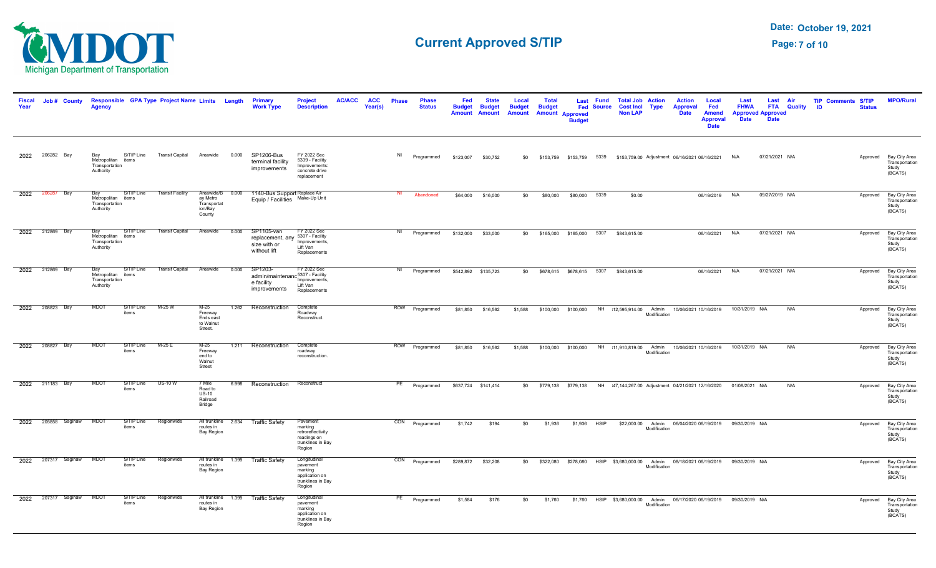

| <b>Fiscal</b><br>Year | Job # County    | <b>Agency</b>                                            |                     | Responsible GPA Type Project Name Limits Length |                                                                  |       | Primary<br><b>Work Type</b>                                                          | <b>Project</b><br><b>Description</b>                                                   | <b>AC/ACC</b> | <b>ACC</b><br>Year(s) | <b>Phase</b> | <b>Phase</b><br><b>Status</b> | Fed<br><b>Budget</b><br><b>Amount</b> | <b>State</b><br><b>Budget</b><br><b>Amount</b> | Local<br><b>Budget</b><br><b>Amount</b> | <b>Total</b><br><b>Budget</b> | <b>Amount Approved</b><br><b>Budget</b> | Last Fund<br><b>Fed Source</b> | <b>Total Job Action</b><br><b>Cost Incl Type</b><br><b>Non LAP</b>                |              | <b>Action</b><br><b>Approval</b><br><b>Date</b> | Local<br>Fed<br><b>Amend</b><br><b>Approval</b><br><b>Date</b> | Last<br><b>FHWA</b><br><b>Date</b>                                     | Last Air<br><b>Approved Approved</b><br><b>Date</b> | <b>FTA</b> Quality | <b>TIP Comments S/TIP</b><br>ID | <b>Status</b> | <b>MPO/Rural</b>                                             |
|-----------------------|-----------------|----------------------------------------------------------|---------------------|-------------------------------------------------|------------------------------------------------------------------|-------|--------------------------------------------------------------------------------------|----------------------------------------------------------------------------------------|---------------|-----------------------|--------------|-------------------------------|---------------------------------------|------------------------------------------------|-----------------------------------------|-------------------------------|-----------------------------------------|--------------------------------|-----------------------------------------------------------------------------------|--------------|-------------------------------------------------|----------------------------------------------------------------|------------------------------------------------------------------------|-----------------------------------------------------|--------------------|---------------------------------|---------------|--------------------------------------------------------------|
|                       | 2022 206282 Bay | Bay<br>Metropolitan items<br>Transportation<br>Authority | S/TIP Line          | <b>Transit Capital</b>                          | Areawide                                                         | 0.000 | SP1206-Bus<br>terminal facility<br>improvements                                      | FY 2022 Sec<br>5339 - Facility<br>Improvements:<br>concrete drive<br>replacement       |               |                       | NI           | Programmed                    | \$123,007                             | \$30,752                                       | \$0                                     |                               |                                         |                                | \$153,759  \$153,759  5339  \$153,759.00  Adjustment  06/16/2021  06/16/2021  N/A |              |                                                 |                                                                |                                                                        | 07/21/2021 N/A                                      |                    |                                 |               | Approved Bay City Area<br>Transportation<br>Study<br>(BCATS) |
|                       | 2022 206287 Bay | Bay<br>Metropolitan items<br>Transportation<br>Authority | S/TIP Line          | <b>Transit Facility</b>                         | Areawide/B 0.000<br>ay Metro<br>Transportat<br>ion/Bay<br>County |       | 1140-Bus Support Replace Air<br>Equip / Facilities Make-Up Unit                      |                                                                                        |               |                       | NI           | Abandoned                     | \$64,000                              | \$16,000                                       | \$0                                     | \$80,000                      | \$80,000 5339                           |                                | \$0.00                                                                            |              |                                                 | 06/19/2019                                                     | N/A                                                                    | 09/27/2019 N/A                                      |                    |                                 | Approved      | Bay City Area<br>Transportation<br>Study<br>(BCATS)          |
|                       | 2022 212869 Bay | Bay<br>Metropolitan items<br>Transportation<br>Authority | S/TIP Line          | <b>Transit Capital</b>                          | Areawide                                                         | 0.000 | SP1105-van<br>replacement, any 5307 - Facility<br>size with or<br>without lift       | FY 2022 Sec<br>Improvements,<br>Lift Van<br>Replacements                               |               |                       |              | NI Programmed                 | \$132,000                             | \$33,000                                       |                                         |                               | \$0 \$165,000 \$165,000 5307            |                                | \$843,615.00                                                                      |              |                                                 | 06/16/2021                                                     | N/A                                                                    | 07/21/2021 N/A                                      |                    |                                 | Approved      | Bay City Area<br>Transportation<br>Study<br>(BCATS)          |
|                       | 2022 212869 Bay | Bav<br>Metropolitan items<br>Transportation<br>Authority | S/TIP Line          | <b>Transit Capital</b>                          | Areawide                                                         | 0.000 | SP1203-<br>admin/maintenanc <sup>5307</sup> - Facility<br>e facility<br>improvements | FY 2022 Sec<br>Improvements,<br>Lift Van<br>Replacements                               |               |                       | NI           | Programmed                    | \$542,892 \$135,723                   |                                                | \$0                                     |                               | \$678,615 \$678,615 5307                |                                | \$843,615.00                                                                      |              |                                                 | 06/16/2021                                                     | N/A                                                                    | 07/21/2021 N/A                                      |                    |                                 | Approved      | Bay City Area<br>Transportation<br>Study<br>(BCATS)          |
|                       | 2022 208823 Bay | <b>MDOT</b>                                              | S/TIP Line<br>items | $M-25W$                                         | $M-25$<br>Freeway<br>Ends east<br>to Walnut<br>Street.           | 1.262 | Reconstruction                                                                       | Complete<br>Roadway<br>Reconstruct.                                                    |               |                       |              | ROW Programmed                |                                       | \$81,850 \$16,562                              | \$1,588                                 |                               |                                         |                                | \$100,000 \$100,000 NH 12,595,914.00 Admin 10/06/2021 10/16/2019                  | Modification |                                                 |                                                                | 10/31/2019 N/A                                                         |                                                     | N/A                |                                 |               | Approved Bay City Area<br>Transportation<br>Study<br>(BCATS) |
| 2022                  | 208827 Bay      | MDOT                                                     | S/TIP Line<br>items | $M-25E$                                         | $M-25$<br>Freeway<br>end to<br>Walnut<br>Street                  | 1.211 | Reconstruction                                                                       | Complete<br>roadway<br>reconstruction.                                                 |               |                       |              | ROW Programmed                | \$81,850                              | \$16,562                                       | \$1,588                                 |                               | \$100,000 \$100,000                     |                                | NH 11,910,819.00 Admin 10/06/2021 10/16/2019                                      | Modification |                                                 |                                                                | 10/31/2019 N/A                                                         |                                                     | N/A                |                                 | Approved      | Bay City Area<br>Transportation<br>Study<br>(BCATS)          |
|                       | 2022 211183 Bay | <b>MDOT</b>                                              | S/TIP Line<br>items | $US-10 W$                                       | 7 Mile<br>Road to<br>$US-10$<br>Railroad<br>Bridge               | 6.998 | Reconstruction                                                                       | Reconstruct                                                                            |               |                       |              | PE Programmed                 |                                       | \$637,724 \$141,414                            |                                         |                               | \$0 \$779.138 \$779.138                 |                                | NH 47.144.267.00 Adjustment 04/21/2021 12/16/2020                                 |              |                                                 |                                                                | 01/08/2021 N/A                                                         |                                                     | N/A                |                                 | Approved      | Bay City Area<br>Transportation<br>Study<br>(BCATS)          |
| 2022                  | 205858 Saginaw  | <b>MDOT</b>                                              | S/TIP Line<br>items | Regionwide                                      | All trunkline 2.634<br>routes in<br><b>Bay Region</b>            |       | <b>Traffic Safety</b>                                                                | Pavement<br>marking<br>retroreflectivity<br>readings on<br>trunklines in Bay<br>Region |               |                       |              | CON Programmed                | \$1,742                               | \$194                                          | \$0                                     | \$1,936                       | \$1,936 HSIP                            |                                |                                                                                   | Modification |                                                 |                                                                | \$22,000.00 Admin 06/04/2020 06/19/2019 09/30/2019 N/A                 |                                                     |                    |                                 | Approved      | Bay City Area<br>Transportation<br>Study<br>(BCATS)          |
| 2022                  | 207317 Saginaw  | <b>MDOT</b>                                              | S/TIP Line<br>items | Regionwide                                      | All trunkline 1.399<br>routes in<br><b>Bay Region</b>            |       | <b>Traffic Safety</b>                                                                | Longitudinal<br>pavement<br>marking<br>application on<br>trunklines in Bay<br>Region   |               |                       |              | CON Programmed                | \$289,872 \$32,208                    |                                                | \$0                                     |                               |                                         |                                | \$322,080 \$278,080 HSIP \$3,680,000.00 Admin 08/18/2021 06/19/2019               | Modification |                                                 |                                                                | 09/30/2019 N/A                                                         |                                                     |                    |                                 |               | Approved Bay City Area<br>Transportation<br>Study<br>(BCATS) |
| 2022                  | 207317 Saginaw  | <b>MDOT</b>                                              | S/TIP Line<br>items | Regionwide                                      | All trunkline 1.399<br>routes in<br><b>Bay Region</b>            |       | <b>Traffic Safety</b>                                                                | Longitudinal<br>pavement<br>marking<br>application on<br>trunklines in Bay<br>Region   |               |                       | PE           | Programmed                    | \$1,584                               | \$176                                          | \$0                                     | \$1,760                       |                                         |                                |                                                                                   | Modification |                                                 |                                                                | \$1,760 HSIP \$3,680,000.00 Admin 06/17/2020 06/19/2019 09/30/2019 N/A |                                                     |                    |                                 |               | Approved Bay City Area<br>Transportation<br>Study<br>(BCATS) |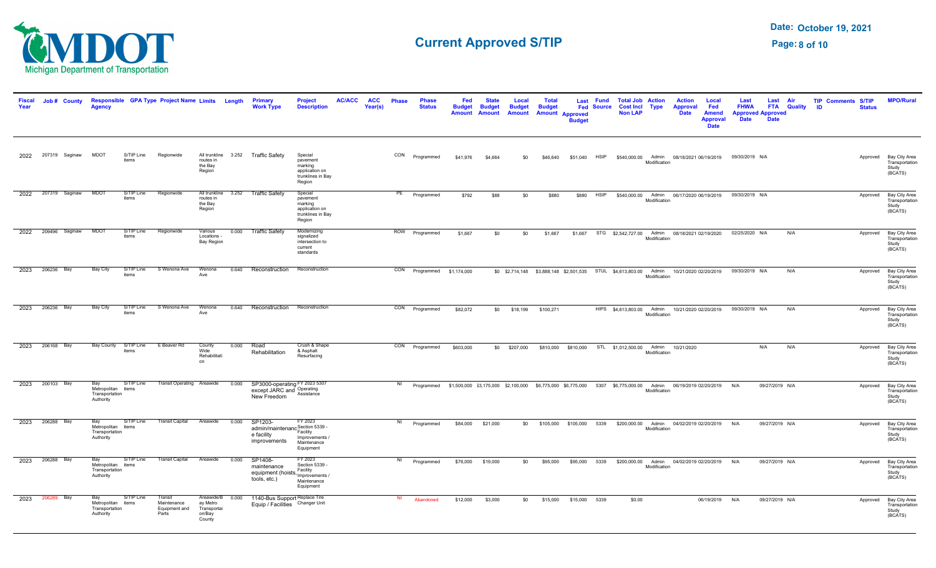

| Fiscal<br>Year |                 | Job # County        | <b>Agency</b>                                            |                     | Responsible GPA Type Project Name Limits Length  |                                                           |       | <b>Primary</b><br><b>Work Type</b>                                        | <b>Project</b><br><b>Description</b>                                                | <b>AC/ACC</b> | <b>ACC</b><br>Year(s) | <b>Phase</b> | <b>Phase</b><br><b>Status</b>                                                                                              | Fed<br><b>Budget</b><br><b>Amount</b> | <b>State</b><br><b>Budget</b><br>Amount | Local<br><b>Budget</b><br><b>Amount</b> | <b>Total</b><br><b>Budget</b> | Last<br><b>Amount Approved</b><br><b>Budget</b> | <b>Fund</b><br><b>Fed Source</b> | <b>Total Job Action</b><br><b>Cost Incl Type</b><br><b>Non LAP</b> |              | <b>Action</b><br><b>Approval</b><br><b>Date</b>                                         | Local<br>Fed<br><b>Amend</b><br><b>Approval</b><br><b>Date</b> | Last<br><b>FHWA</b><br><b>Approved Approved</b><br><b>Date</b>        | Last<br><b>Date</b> | Air<br><b>FTA</b> Quality | <b>TIP Comments S/TIP</b><br><b>ID</b> | <b>Status</b> | <b>MPO/Rural</b>                                             |
|----------------|-----------------|---------------------|----------------------------------------------------------|---------------------|--------------------------------------------------|-----------------------------------------------------------|-------|---------------------------------------------------------------------------|-------------------------------------------------------------------------------------|---------------|-----------------------|--------------|----------------------------------------------------------------------------------------------------------------------------|---------------------------------------|-----------------------------------------|-----------------------------------------|-------------------------------|-------------------------------------------------|----------------------------------|--------------------------------------------------------------------|--------------|-----------------------------------------------------------------------------------------|----------------------------------------------------------------|-----------------------------------------------------------------------|---------------------|---------------------------|----------------------------------------|---------------|--------------------------------------------------------------|
| 2022           |                 | 207319 Saginaw      | <b>MDOT</b>                                              | S/TIP Line<br>items | Regionwide                                       | routes in<br>the Bay<br>Region                            |       | All trunkline 3.252 Traffic Safety                                        | Special<br>pavement<br>marking<br>application on<br>trunklines in Bay<br>Region     |               |                       | CON          | Programmed                                                                                                                 | \$41,976                              | \$4,664                                 | \$0                                     | \$46,640                      |                                                 | \$51,040 HSIP                    |                                                                    | Modification |                                                                                         |                                                                | \$540,000.00 Admin 08/18/2021 06/19/2019 09/30/2019 N/A               |                     |                           |                                        |               | Approved Bay City Area<br>Transportation<br>Study<br>(BCATS) |
| 2022           |                 | 207319 Saginaw      | <b>MDOT</b>                                              | S/TIP Line<br>items | Regionwide                                       | All trunkline 3.252<br>routes in<br>the Bay<br>Region     |       | <b>Traffic Safety</b>                                                     | Special<br>pavement<br>marking<br>application on<br>trunklines in Bay<br>Region     |               |                       |              | PE Programmed                                                                                                              | \$792                                 | \$88                                    | \$0                                     | \$880                         | \$880                                           | <b>HSIP</b>                      |                                                                    | Modification |                                                                                         |                                                                | \$540,000.00 Admin 06/17/2020 06/19/2019 09/30/2019 N/A               |                     |                           |                                        | Approved      | Bay City Area<br>Transportation<br>Study<br>(BCATS)          |
|                |                 | 2022 209496 Saginaw | <b>MDOT</b>                                              | S/TIP Line<br>items | Regionwide                                       | Various<br>Locations -<br>Bay Region                      |       | 0.000 Traffic Safety                                                      | Modernizing<br>signalized<br>intersection to<br>current<br>standards                |               |                       |              | ROW Programmed                                                                                                             | \$1,667                               | \$0                                     | \$0                                     | \$1,667                       |                                                 |                                  |                                                                    | Modification |                                                                                         |                                                                | \$1,667 STG \$2,542,727.00 Admin 08/18/2021 02/19/2020 02/25/2020 N/A |                     | N/A                       |                                        |               | Approved Bay City Area<br>Transportation<br>Study<br>(BCATS) |
| 2023           | 206236 Bay      |                     | <b>Bay City</b>                                          | S/TIP Line<br>items | S Wenona Ave                                     | Wenona<br>Ave                                             | 0.640 | Reconstruction                                                            | Reconstruction                                                                      |               |                       |              | CON Programmed \$1,174,000                                                                                                 |                                       |                                         |                                         |                               |                                                 |                                  |                                                                    | Modification | \$0 \$2,714,148 \$3,888,148 \$2,501,535 STUL \$4,613,803.00 Admin 10/21/2020 02/20/2019 |                                                                | 09/30/2019 N/A                                                        |                     | N/A                       |                                        |               | Approved Bay City Area<br>Transportation<br>Study<br>(BCATS) |
|                | 2023 206236 Bay |                     | Bay City                                                 | S/TIP Line<br>items | S Wenona Ave                                     | Wenona<br>Ave                                             |       | 0.640 Reconstruction                                                      | Reconstruction                                                                      |               |                       |              | CON Programmed                                                                                                             | \$82,072                              |                                         | \$0 \$18,199                            | \$100,271                     |                                                 |                                  |                                                                    | Modification |                                                                                         |                                                                | HIPS \$4,613,803.00 Admin 10/21/2020 02/20/2019 09/30/2019 N/A        |                     | N/A                       |                                        |               | Approved Bay City Area<br>Transportation<br>Study<br>(BCATS) |
| 2023           | 206168 Bay      |                     | Bay County                                               | S/TIP Line<br>items | E Beaver Rd                                      | County<br>Wide <sup>2</sup><br>Rehabilitati<br>on         | 0.000 | Road<br>Rehabilitation                                                    | Crush & Shape<br>& Asphalt<br>Resurfacing                                           |               |                       |              | CON Programmed                                                                                                             | \$603,000                             |                                         | \$0 \$207,000                           |                               |                                                 |                                  | \$810,000 \$810,000 STL \$1,012,500.00 Admin                       | Modification | 10/21/2020                                                                              |                                                                |                                                                       | N/A                 | N/A                       |                                        |               | Approved Bay City Area<br>Transportation<br>Study<br>(BCATS) |
|                | 2023 200103 Bay |                     | Bay<br>Metropolitan items<br>Transportation<br>Authority | S/TIP Line          | <b>Transit Operating Areawide</b>                |                                                           | 0.000 | SP3000-operating FY 2023 5307<br>except JARC and Operating<br>New Freedom | Assistance                                                                          |               |                       | NI           | Programmed \$1,500,000 \$3,175,000 \$2,100,000 \$6,775,000 \$6,775,000 5307 \$6,775,000.00 Admin 06/19/2019 02/20/2019 N/A |                                       |                                         |                                         |                               |                                                 |                                  |                                                                    | Modification |                                                                                         |                                                                |                                                                       | 09/27/2019 N/A      |                           |                                        |               | Approved Bay City Area<br>Transportation<br>Study<br>(BCATS) |
| 2023           | 206288 Bay      |                     | Bay<br>Metropolitan items<br>Transportation<br>Authority | S/TIP Line          | <b>Transit Capital</b>                           | Areawide                                                  | 0.000 | SP1203-<br>admin/maintenano<br>e facility<br>improvements                 | FY 2023<br>Section 5339 -<br>Facility<br>Improvements /<br>Maintenance<br>Equipment |               |                       | NI           | Programmed                                                                                                                 | \$84,000                              | \$21,000                                | \$0                                     |                               | \$105,000 \$105,000 5339                        |                                  |                                                                    | Modification | \$200,000.00 Admin 04/02/2019 02/20/2019 N/A                                            |                                                                |                                                                       | 09/27/2019 N/A      |                           |                                        |               | Approved Bay City Area<br>Transportation<br>Study<br>(BCATS) |
| 2023           | 206288 Bay      |                     | Bay<br>Metropolitan items<br>Transportation<br>Authority | S/TIP Line          | <b>Transit Capital</b>                           | Areawide                                                  | 0.000 | SP1408-<br>maintenance<br>equipment (hoists, raying<br>tools, etc.)       | FY 2023<br>Section 5339 -<br>Facility<br>Maintenance<br>Equipment                   |               |                       | NI           | Programmed                                                                                                                 |                                       | \$76,000 \$19,000                       | \$0                                     | \$95,000                      |                                                 | \$95,000 5339                    |                                                                    | Modification | \$200,000.00 Admin 04/02/2019 02/20/2019 N/A                                            |                                                                |                                                                       | 09/27/2019 N/A      |                           |                                        |               | Approved Bay City Area<br>Transportation<br>Study<br>(BCATS) |
| 2023           | 206289          | Bay                 | Bay<br>Metropolitan items<br>Transportation<br>Authority | S/TIP Line          | Transit<br>Maintenance<br>Equipment and<br>Parts | Areawide/B<br>ay Metro<br>Transportai<br>on/Bay<br>County | 0.000 | 1140-Bus Support Replace Tire<br>Equip / Facilities Changer Unit          |                                                                                     |               |                       | <b>NI</b>    | Abandoned                                                                                                                  | \$12,000                              | \$3,000                                 | \$0                                     | \$15,000                      | \$15,000                                        | 5339                             | \$0.00                                                             |              |                                                                                         | 06/19/2019 N/A                                                 |                                                                       | 09/27/2019 N/A      |                           |                                        |               | Approved Bay City Area<br>Transportation<br>Study<br>(BCATS) |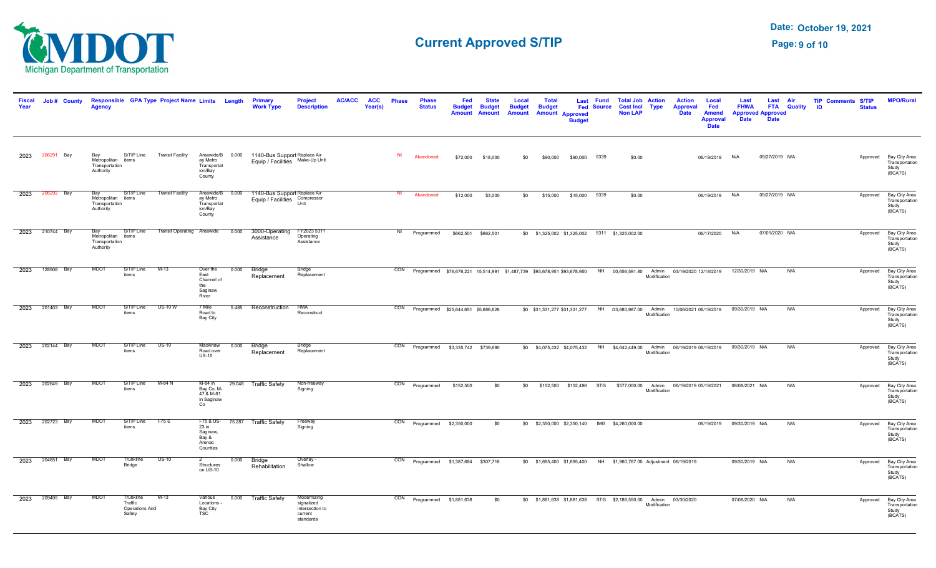

| <b>Fiscal</b><br>Year | Job # County    | <b>Agency</b>                                            |                                                  | Responsible GPA Type Project Name Limits Length |                                                                  |       | Primary<br><b>Work Type</b>                                                      | <b>Project</b><br><b>Description</b>                                 | <b>AC/ACC</b> | <b>ACC</b><br>Year(s) | <b>Phase</b>   | <b>Phase</b><br><b>Status</b>                                                                                             | Fed<br>tenhu<br><b>Amount</b> | <b>State</b><br><b>Budget</b><br>Amount | Local<br><b>Budget</b><br><b>Amount</b> | <b>Total</b><br><b>Budget</b> | <b>Amount Approved</b><br><b>Rudge</b> | Last Fund<br><b>Fed Source</b> | <b>Total Job Action</b><br><b>Cost Incl</b><br><b>Non LAP</b>       | <b>Type</b>  | <b>Action</b><br><b>Approval</b><br><b>Date</b>                            | Local<br>Fed<br><b>Amend</b><br><b>Approval</b><br><b>Date</b> | Last<br><b>FHWA</b><br><b>Date</b> | Last Air<br><b>Approved Approved</b><br><b>Date</b> | <b>FTA</b> Quality | <b>TIP Comments S/TIP</b><br><b>ID</b> | <b>Status</b> | <b>MPO/Rural</b>                                             |
|-----------------------|-----------------|----------------------------------------------------------|--------------------------------------------------|-------------------------------------------------|------------------------------------------------------------------|-------|----------------------------------------------------------------------------------|----------------------------------------------------------------------|---------------|-----------------------|----------------|---------------------------------------------------------------------------------------------------------------------------|-------------------------------|-----------------------------------------|-----------------------------------------|-------------------------------|----------------------------------------|--------------------------------|---------------------------------------------------------------------|--------------|----------------------------------------------------------------------------|----------------------------------------------------------------|------------------------------------|-----------------------------------------------------|--------------------|----------------------------------------|---------------|--------------------------------------------------------------|
| 2023                  | 206291 Bay      | Bay<br>Metropolitan items<br>Transportation<br>Authority | S/TIP Line                                       | <b>Transit Facility</b>                         | ay Metro<br>Transportat<br>ion/Bay<br>County                     |       | Areawide/B 0.000 1140-Bus Support Replace Air<br>Equip / Facilities Make-Up Unit |                                                                      |               |                       | N <sub>1</sub> | Abandoned                                                                                                                 | \$72,000                      | \$18,000                                | \$0                                     | \$90,000                      | \$90,000 5339                          |                                | \$0.00                                                              |              |                                                                            | 06/19/2019                                                     | N/A                                | 09/27/2019 N/A                                      |                    |                                        |               | Approved Bay City Area<br>Transportation<br>Study<br>(BCATS) |
| 2023                  | 206292 Bay      | Bay<br>Metropolitan items<br>Transportation<br>Authority | S/TIP Line                                       | <b>Transit Facility</b>                         | Areawide/B<br>ay Metro<br>Transportat<br>ion/Bay<br>County       | 0.000 | 1140-Bus Support Replace Air<br>Equip / Facilities Compressor                    | Unit                                                                 |               |                       |                | Abandoned                                                                                                                 | \$12,000                      | \$3,000                                 | \$0                                     |                               | \$15,000 \$15,000 5339                 |                                | \$0.00                                                              |              |                                                                            | 06/19/2019 N/A                                                 |                                    | 09/27/2019 N/A                                      |                    |                                        |               | Approved Bay City Area<br>Transportation<br>Study<br>(BCATS) |
|                       | 2023 210744 Bay | Bay<br>Metropolitan items<br>Transportation<br>Authority | S/TIP Line                                       | Transit Operating Areawide                      |                                                                  | 0.000 | 3000-Operating<br>Assistance                                                     | FY2023 5311<br>Operating<br>Assistance                               |               |                       | NI             | Programmed                                                                                                                |                               | \$662,501 \$662,501                     |                                         |                               |                                        |                                | \$0 \$1,325,002 \$1,325,002 5311 \$1,325,002.00                     |              |                                                                            | 06/17/2020                                                     | N/A                                | 07/01/2020 N/A                                      |                    |                                        |               | Approved Bay City Area<br>Transportation<br>Study<br>(BCATS) |
| 2023                  | 128908 Bay      | <b>MDOT</b>                                              | S/TIP Line<br>items                              | $M-13$                                          | Over the<br>East<br>Channel of<br>the<br>Saginaw<br>River        | 0.000 | <b>Bridge</b><br>Replacement                                                     | Bridge<br>Replacement                                                |               |                       |                | CON Programmed \$76,676,221 15,514,991 \$1,487,739 \$93,678,951 \$93,678,950 NH 00,656,591.80 Admin 03/19/2020 12/18/2019 |                               |                                         |                                         |                               |                                        |                                |                                                                     | Modification |                                                                            |                                                                | 12/30/2019 N/A                     |                                                     | N/A                |                                        | Approved      | Bay City Area<br>Transportation<br>Study<br>(BCATS)          |
| 2023                  | 201403 Bay      | <b>MDOT</b>                                              | S/TIP Line<br>items                              | $US-10 W$                                       | 7 Mile<br>Road to<br>Bay City                                    |       | 5.485 Reconstruction                                                             | <b>HMA</b><br>Reconstruct                                            |               |                       |                | CON Programmed \$25,644,651 \$5,686,626                                                                                   |                               |                                         |                                         |                               |                                        |                                |                                                                     | Modification | \$0 \$31,331,277 \$31,331,277 NH 33,680,987.00 Admin 10/06/2021 06/19/2019 |                                                                | 09/30/2019 N/A                     |                                                     | N/A                |                                        | Approved      | Bay City Area<br>Transportation<br>Study<br>(BCATS)          |
| 2023                  | 202144 Bay      | <b>MDOT</b>                                              | S/TIP Line<br>items                              | $US-10$                                         | Mackinaw<br>Road over<br>$US-10$                                 | 0.000 | Bridge<br>Replacement                                                            | <b>Bridge</b><br>Replacement                                         |               |                       |                | CON Programmed \$3,335,742 \$739,690                                                                                      |                               |                                         |                                         |                               |                                        |                                |                                                                     | Modification | \$0 \$4,075,432 \$4,075,432 NH \$4,642,449.00 Admin 06/19/2019 06/19/2019  |                                                                | 09/30/2019 N/A                     |                                                     | N/A                |                                        |               | Approved Bay City Area<br>Transportation<br>Study<br>(BCATS) |
| 2023                  | 202649 Bay      | MDO <sup>-</sup>                                         | S/TIP Line<br>items                              | $M-84$ N                                        | $M-84$ in<br>Bay Co, M-<br>47 & M-81<br>in Saginaw<br>Co         |       | 29.048 Traffic Safety                                                            | Non-freeway<br>Signing                                               |               |                       |                | CON Programmed                                                                                                            | \$152,500                     | \$0                                     | \$0                                     |                               |                                        |                                |                                                                     | Modification | \$152,500 \$152,496 STG \$577,000.00 Admin 06/19/2019 05/19/2021           |                                                                | 06/08/2021 N/A                     |                                                     | N/A                |                                        |               | Approved Bay City Area<br>Transportation<br>Study<br>(BCATS) |
| 2023                  | 202723 Bay      | <b>MDOT</b>                                              | S/TIP Line<br>items                              | $-75S$                                          | $1-75$ & US-<br>23 in<br>Saginaw,<br>Bay &<br>Arenac<br>Counties |       | 75.287 Traffic Safety                                                            | Freeway<br>Signing                                                   |               |                       |                | CON Programmed \$2,350,000                                                                                                |                               | \$0                                     |                                         |                               |                                        |                                | \$0 \$2,350,000 \$2,350,140 IMG \$4,260,000.00                      |              |                                                                            | 06/19/2019                                                     | 09/30/2019 N/A                     |                                                     | N/A                |                                        |               | Approved Bay City Area<br>Transportation<br>Study<br>(BCATS) |
| 2023                  | 204851 Bay      | <b>MDOT</b>                                              | Trunkline<br>Bridge                              | $US-10$                                         | Structures<br>on US-10                                           | 0.000 | Bridge<br>Rehabilitation                                                         | Overlay -<br>Shallow                                                 |               |                       |                | CON Programmed \$1,387,684 \$307,716                                                                                      |                               |                                         |                                         |                               |                                        |                                | \$0 \$1,695,400 \$1,695,400 NH \$1,960,767.00 Adjustment 06/19/2019 |              |                                                                            |                                                                | 09/30/2019 N/A                     |                                                     | N/A                |                                        | Approved      | Bay City Area<br>Transportation<br>Study<br>(BCATS)          |
| 2023                  | 209495 Bay      | MDO <sup>-</sup>                                         | Trunkline<br>Traffic<br>Operations And<br>Safety | $M-13$                                          | Various<br>Locations -<br>Bay City<br><b>TSC</b>                 |       | 0.000 Traffic Safety                                                             | Modernizing<br>signalized<br>intersection to<br>current<br>standards |               |                       |                | CON Programmed \$1,881,638                                                                                                |                               | \$0                                     |                                         |                               |                                        |                                | \$0 \$1,881,638 \$1,881,638 STG \$2,186,550.00 Admin 03/30/2020     | Modification |                                                                            |                                                                | 07/08/2020 N/A                     |                                                     | N/A                |                                        |               | Approved Bay City Area<br>Transportation<br>Study<br>(BCATS) |